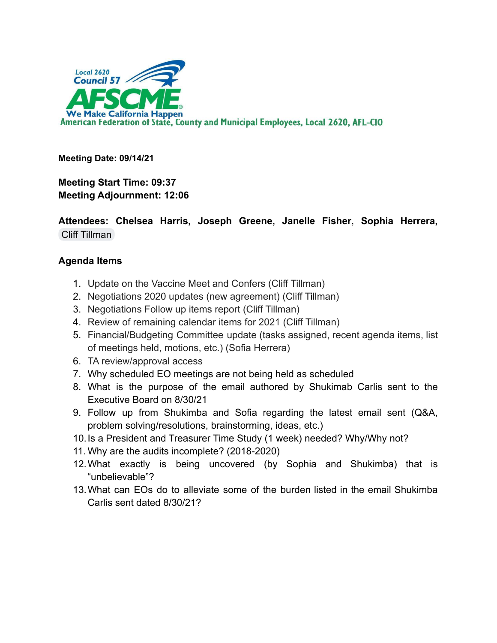

**Meeting Date: 09/14/21**

**Meeting Start Time: 09:37 Meeting Adjournment: 12:06**

**Attendees: Chelsea Harris, Joseph Greene, Janelle Fisher**, **Sophia Herrera,** [Cliff Tillman](mailto:cliff.tillman@ca.afscme57.org)

## **Agenda Items**

- 1. Update on the Vaccine Meet and Confers (Cliff Tillman)
- 2. Negotiations 2020 updates (new agreement) (Cliff Tillman)
- 3. Negotiations Follow up items report (Cliff Tillman)
- 4. Review of remaining calendar items for 2021 (Cliff Tillman)
- 5. Financial/Budgeting Committee update (tasks assigned, recent agenda items, list of meetings held, motions, etc.) (Sofia Herrera)
- 6. TA review/approval access
- 7. Why scheduled EO meetings are not being held as scheduled
- 8. What is the purpose of the email authored by Shukimab Carlis sent to the Executive Board on 8/30/21
- 9. Follow up from Shukimba and Sofia regarding the latest email sent (Q&A, problem solving/resolutions, brainstorming, ideas, etc.)
- 10.Is a President and Treasurer Time Study (1 week) needed? Why/Why not?
- 11. Why are the audits incomplete? (2018-2020)
- 12.What exactly is being uncovered (by Sophia and Shukimba) that is "unbelievable"?
- 13.What can EOs do to alleviate some of the burden listed in the email Shukimba Carlis sent dated 8/30/21?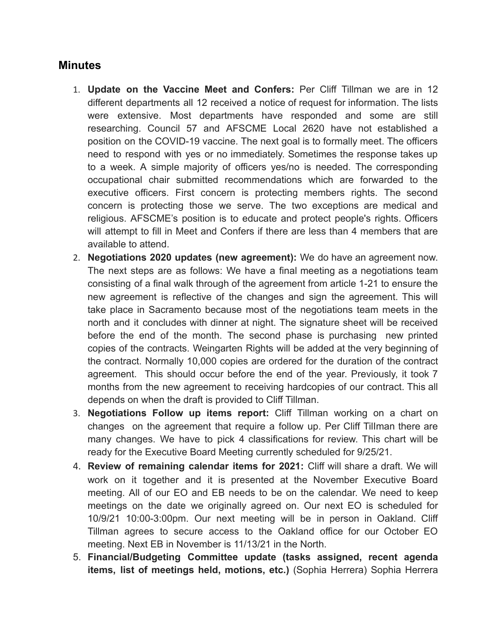## **Minutes**

- 1. **Update on the Vaccine Meet and Confers:** Per Cliff Tillman we are in 12 different departments all 12 received a notice of request for information. The lists were extensive. Most departments have responded and some are still researching. Council 57 and AFSCME Local 2620 have not established a position on the COVID-19 vaccine. The next goal is to formally meet. The officers need to respond with yes or no immediately. Sometimes the response takes up to a week. A simple majority of officers yes/no is needed. The corresponding occupational chair submitted recommendations which are forwarded to the executive officers. First concern is protecting members rights. The second concern is protecting those we serve. The two exceptions are medical and religious. AFSCME's position is to educate and protect people's rights. Officers will attempt to fill in Meet and Confers if there are less than 4 members that are available to attend.
- 2. **Negotiations 2020 updates (new agreement):** We do have an agreement now. The next steps are as follows: We have a final meeting as a negotiations team consisting of a final walk through of the agreement from article 1-21 to ensure the new agreement is reflective of the changes and sign the agreement. This will take place in Sacramento because most of the negotiations team meets in the north and it concludes with dinner at night. The signature sheet will be received before the end of the month. The second phase is purchasing new printed copies of the contracts. Weingarten Rights will be added at the very beginning of the contract. Normally 10,000 copies are ordered for the duration of the contract agreement. This should occur before the end of the year. Previously, it took 7 months from the new agreement to receiving hardcopies of our contract. This all depends on when the draft is provided to Cliff Tillman.
- 3. **Negotiations Follow up items report:** Cliff Tillman working on a chart on changes on the agreement that require a follow up. Per Cliff TilIman there are many changes. We have to pick 4 classifications for review. This chart will be ready for the Executive Board Meeting currently scheduled for 9/25/21.
- 4. **Review of remaining calendar items for 2021:** Cliff will share a draft. We will work on it together and it is presented at the November Executive Board meeting. All of our EO and EB needs to be on the calendar. We need to keep meetings on the date we originally agreed on. Our next EO is scheduled for 10/9/21 10:00-3:00pm. Our next meeting will be in person in Oakland. Cliff Tillman agrees to secure access to the Oakland office for our October EO meeting. Next EB in November is 11/13/21 in the North.
- 5. **Financial/Budgeting Committee update (tasks assigned, recent agenda items, list of meetings held, motions, etc.)** (Sophia Herrera) Sophia Herrera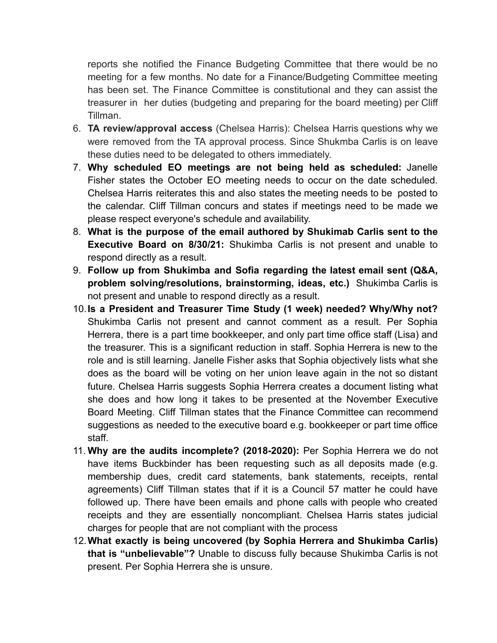reports she notified the Finance Budgeting Committee that there would be no meeting for a few months. No date for a Finance/Budgeting Committee meeting has been set. The Finance Committee is constitutional and they can assist the treasurer in her duties (budgeting and preparing for the board meeting) per Cliff Tillman.

- 6. **TA review/approval access** (Chelsea Harris): Chelsea Harris questions why we were removed from the TA approval process. Since Shukmba Carlis is on leave these duties need to be delegated to others immediately.
- 7. **Why scheduled EO meetings are not being held as scheduled:** Janelle Fisher states the October EO meeting needs to occur on the date scheduled. Chelsea Harris reiterates this and also states the meeting needs to be posted to the calendar. Cliff Tillman concurs and states if meetings need to be made we please respect everyone's schedule and availability.
- 8. **What is the purpose of the email authored by Shukimab Carlis sent to the Executive Board on 8/30/21:** Shukimba Carlis is not present and unable to respond directly as a result.
- 9. **Follow up from Shukimba and Sofia regarding the latest email sent (Q&A, problem solving/resolutions, brainstorming, ideas, etc.)** Shukimba Carlis is not present and unable to respond directly as a result.
- 10.**Is a President and Treasurer Time Study (1 week) needed? Why/Why not?** Shukimba Carlis not present and cannot comment as a result. Per Sophia Herrera, there is a part time bookkeeper, and only part time office staff (Lisa) and the treasurer. This is a significant reduction in staff. Sophia Herrera is new to the role and is still learning. Janelle Fisher asks that Sophia objectively lists what she does as the board will be voting on her union leave again in the not so distant future. Chelsea Harris suggests Sophia Herrera creates a document listing what she does and how long it takes to be presented at the November Executive Board Meeting. Cliff Tillman states that the Finance Committee can recommend suggestions as needed to the executive board e.g. bookkeeper or part time office staff.
- 11. **Why are the audits incomplete? (2018-2020):** Per Sophia Herrera we do not have items Buckbinder has been requesting such as all deposits made (e.g. membership dues, credit card statements, bank statements, receipts, rental agreements) Cliff Tillman states that if it is a Council 57 matter he could have followed up. There have been emails and phone calls with people who created receipts and they are essentially noncompliant. Chelsea Harris states judicial charges for people that are not compliant with the process
- 12.**What exactly is being uncovered (by Sophia Herrera and Shukimba Carlis) that is "unbelievable"?** Unable to discuss fully because Shukimba Carlis is not present. Per Sophia Herrera she is unsure.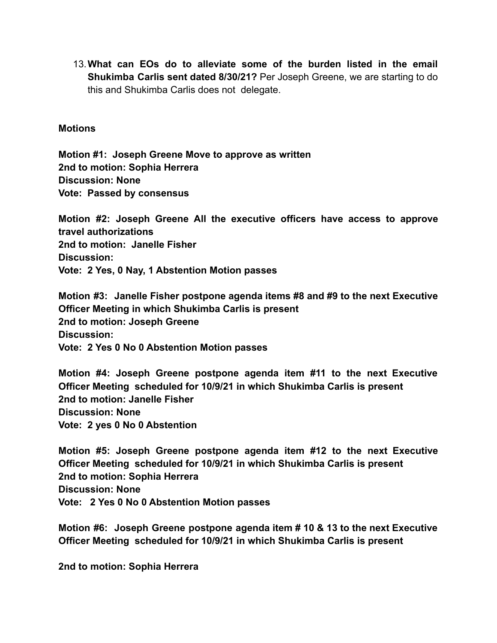13.**What can EOs do to alleviate some of the burden listed in the email Shukimba Carlis sent dated 8/30/21?** Per Joseph Greene, we are starting to do this and Shukimba Carlis does not delegate.

## **Motions**

**Motion #1: Joseph Greene Move to approve as written 2nd to motion: Sophia Herrera Discussion: None Vote: Passed by consensus**

**Motion #2: Joseph Greene All the executive officers have access to approve travel authorizations 2nd to motion: Janelle Fisher Discussion: Vote: 2 Yes, 0 Nay, 1 Abstention Motion passes**

**Motion #3: Janelle Fisher postpone agenda items #8 and #9 to the next Executive Officer Meeting in which Shukimba Carlis is present 2nd to motion: Joseph Greene Discussion: Vote: 2 Yes 0 No 0 Abstention Motion passes**

**Motion #4: Joseph Greene postpone agenda item #11 to the next Executive Officer Meeting scheduled for 10/9/21 in which Shukimba Carlis is present 2nd to motion: Janelle Fisher Discussion: None Vote: 2 yes 0 No 0 Abstention**

**Motion #5: Joseph Greene postpone agenda item #12 to the next Executive Officer Meeting scheduled for 10/9/21 in which Shukimba Carlis is present 2nd to motion: Sophia Herrera Discussion: None Vote: 2 Yes 0 No 0 Abstention Motion passes**

**Motion #6: Joseph Greene postpone agenda item # 10 & 13 to the next Executive Officer Meeting scheduled for 10/9/21 in which Shukimba Carlis is present**

**2nd to motion: Sophia Herrera**